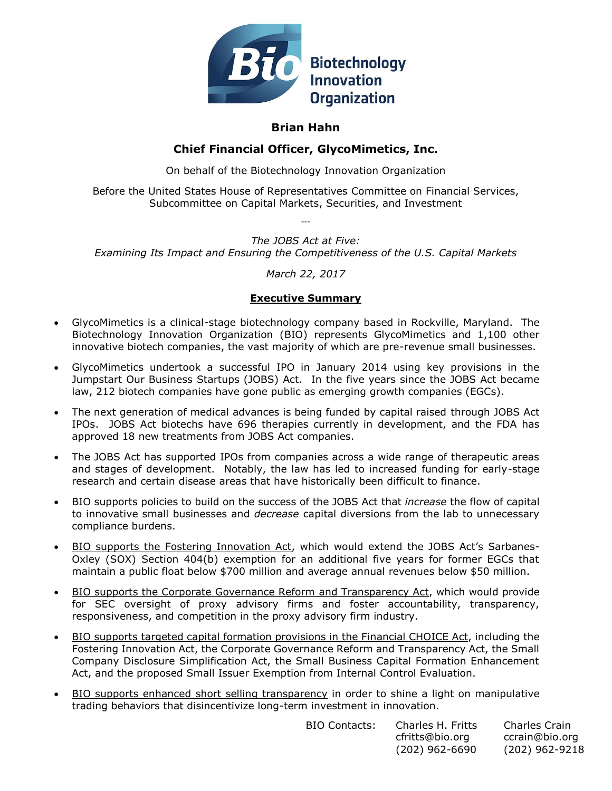

# **Brian Hahn**

# **Chief Financial Officer, GlycoMimetics, Inc.**

On behalf of the Biotechnology Innovation Organization

Before the United States House of Representatives Committee on Financial Services, Subcommittee on Capital Markets, Securities, and Investment

---

*The JOBS Act at Five: Examining Its Impact and Ensuring the Competitiveness of the U.S. Capital Markets*

# *March 22, 2017*

# **Executive Summary**

- GlycoMimetics is a clinical-stage biotechnology company based in Rockville, Maryland. The Biotechnology Innovation Organization (BIO) represents GlycoMimetics and 1,100 other innovative biotech companies, the vast majority of which are pre-revenue small businesses.
- GlycoMimetics undertook a successful IPO in January 2014 using key provisions in the Jumpstart Our Business Startups (JOBS) Act. In the five years since the JOBS Act became law, 212 biotech companies have gone public as emerging growth companies (EGCs).
- The next generation of medical advances is being funded by capital raised through JOBS Act IPOs. JOBS Act biotechs have 696 therapies currently in development, and the FDA has approved 18 new treatments from JOBS Act companies.
- The JOBS Act has supported IPOs from companies across a wide range of therapeutic areas and stages of development. Notably, the law has led to increased funding for early-stage research and certain disease areas that have historically been difficult to finance.
- BIO supports policies to build on the success of the JOBS Act that *increase* the flow of capital to innovative small businesses and *decrease* capital diversions from the lab to unnecessary compliance burdens.
- BIO supports the Fostering Innovation Act, which would extend the JOBS Act's Sarbanes-Oxley (SOX) Section 404(b) exemption for an additional five years for former EGCs that maintain a public float below \$700 million and average annual revenues below \$50 million.
- BIO supports the Corporate Governance Reform and Transparency Act, which would provide for SEC oversight of proxy advisory firms and foster accountability, transparency, responsiveness, and competition in the proxy advisory firm industry.
- BIO supports targeted capital formation provisions in the Financial CHOICE Act, including the Fostering Innovation Act, the Corporate Governance Reform and Transparency Act, the Small Company Disclosure Simplification Act, the Small Business Capital Formation Enhancement Act, and the proposed Small Issuer Exemption from Internal Control Evaluation.
- BIO supports enhanced short selling transparency in order to shine a light on manipulative trading behaviors that disincentivize long-term investment in innovation.

| BIO Contacts: | Charles H. Fritts | Charles Crain  |
|---------------|-------------------|----------------|
|               | cfritts@bio.org   | ccrain@bio.org |
|               | $(202)$ 962-6690  | (202) 962-9218 |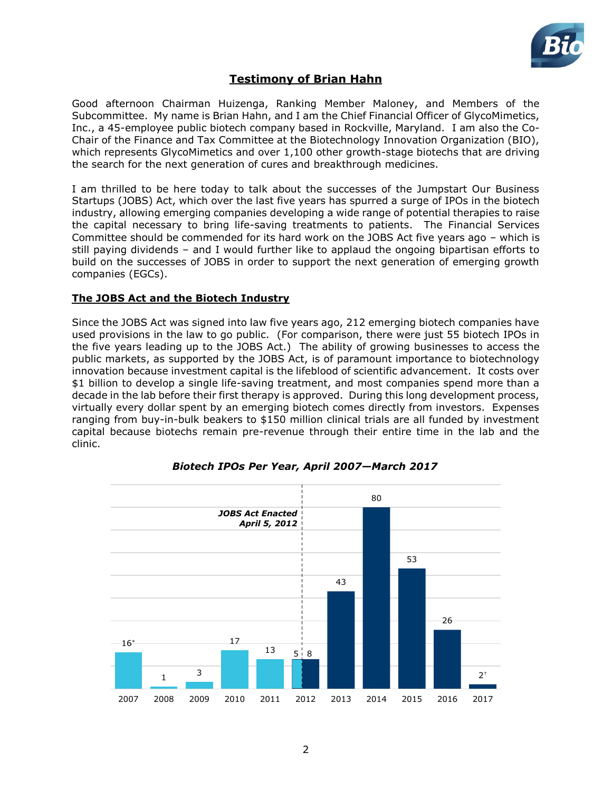

# **Testimony of Brian Hahn**

Good afternoon Chairman Huizenga, Ranking Member Maloney, and Members of the Subcommittee. My name is Brian Hahn, and I am the Chief Financial Officer of GlycoMimetics, Inc., a 45-employee public biotech company based in Rockville, Maryland. I am also the Co-Chair of the Finance and Tax Committee at the Biotechnology Innovation Organization (BIO), which represents GlycoMimetics and over 1,100 other growth-stage biotechs that are driving the search for the next generation of cures and breakthrough medicines.

I am thrilled to be here today to talk about the successes of the Jumpstart Our Business Startups (JOBS) Act, which over the last five years has spurred a surge of IPOs in the biotech industry, allowing emerging companies developing a wide range of potential therapies to raise the capital necessary to bring life-saving treatments to patients. The Financial Services Committee should be commended for its hard work on the JOBS Act five years ago – which is still paying dividends – and I would further like to applaud the ongoing bipartisan efforts to build on the successes of JOBS in order to support the next generation of emerging growth companies (EGCs).

## **The JOBS Act and the Biotech Industry**

Since the JOBS Act was signed into law five years ago, 212 emerging biotech companies have used provisions in the law to go public. (For comparison, there were just 55 biotech IPOs in the five years leading up to the JOBS Act.) The ability of growing businesses to access the public markets, as supported by the JOBS Act, is of paramount importance to biotechnology innovation because investment capital is the lifeblood of scientific advancement. It costs over \$1 billion to develop a single life-saving treatment, and most companies spend more than a decade in the lab before their first therapy is approved. During this long development process, virtually every dollar spent by an emerging biotech comes directly from investors. Expenses ranging from buy-in-bulk beakers to \$150 million clinical trials are all funded by investment capital because biotechs remain pre-revenue through their entire time in the lab and the clinic.



# *Biotech IPOs Per Year, April 2007—March 2017*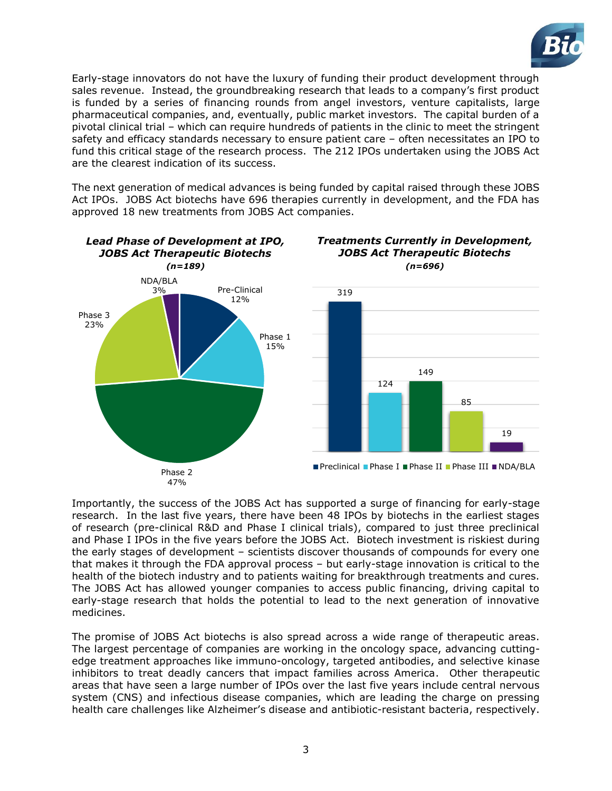

Early-stage innovators do not have the luxury of funding their product development through sales revenue. Instead, the groundbreaking research that leads to a company's first product is funded by a series of financing rounds from angel investors, venture capitalists, large pharmaceutical companies, and, eventually, public market investors. The capital burden of a pivotal clinical trial – which can require hundreds of patients in the clinic to meet the stringent safety and efficacy standards necessary to ensure patient care – often necessitates an IPO to fund this critical stage of the research process. The 212 IPOs undertaken using the JOBS Act are the clearest indication of its success.

The next generation of medical advances is being funded by capital raised through these JOBS Act IPOs. JOBS Act biotechs have 696 therapies currently in development, and the FDA has approved 18 new treatments from JOBS Act companies.



Importantly, the success of the JOBS Act has supported a surge of financing for early-stage research. In the last five years, there have been 48 IPOs by biotechs in the earliest stages of research (pre-clinical R&D and Phase I clinical trials), compared to just three preclinical and Phase I IPOs in the five years before the JOBS Act. Biotech investment is riskiest during the early stages of development – scientists discover thousands of compounds for every one that makes it through the FDA approval process – but early-stage innovation is critical to the health of the biotech industry and to patients waiting for breakthrough treatments and cures. The JOBS Act has allowed younger companies to access public financing, driving capital to early-stage research that holds the potential to lead to the next generation of innovative medicines.

The promise of JOBS Act biotechs is also spread across a wide range of therapeutic areas. The largest percentage of companies are working in the oncology space, advancing cuttingedge treatment approaches like immuno-oncology, targeted antibodies, and selective kinase inhibitors to treat deadly cancers that impact families across America. Other therapeutic areas that have seen a large number of IPOs over the last five years include central nervous system (CNS) and infectious disease companies, which are leading the charge on pressing health care challenges like Alzheimer's disease and antibiotic-resistant bacteria, respectively.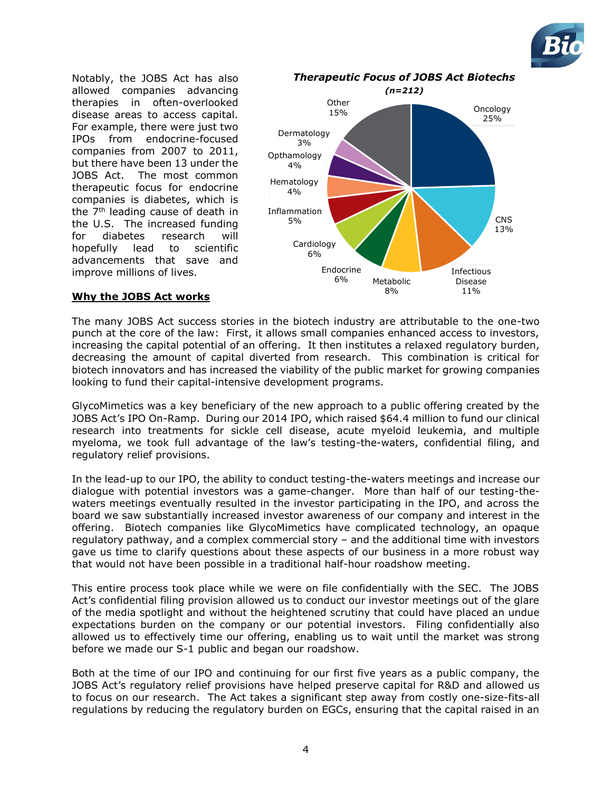

Notably, the JOBS Act has also allowed companies advancing therapies in often-overlooked disease areas to access capital. For example, there were just two IPOs from endocrine-focused companies from 2007 to 2011, but there have been 13 under the JOBS Act. The most common therapeutic focus for endocrine companies is diabetes, which is the  $7<sup>th</sup>$  leading cause of death in the U.S. The increased funding for diabetes research will hopefully lead to scientific advancements that save and improve millions of lives.



### **Why the JOBS Act works**

The many JOBS Act success stories in the biotech industry are attributable to the one-two punch at the core of the law: First, it allows small companies enhanced access to investors, increasing the capital potential of an offering. It then institutes a relaxed regulatory burden, decreasing the amount of capital diverted from research. This combination is critical for biotech innovators and has increased the viability of the public market for growing companies looking to fund their capital-intensive development programs.

GlycoMimetics was a key beneficiary of the new approach to a public offering created by the JOBS Act's IPO On-Ramp. During our 2014 IPO, which raised \$64.4 million to fund our clinical research into treatments for sickle cell disease, acute myeloid leukemia, and multiple myeloma, we took full advantage of the law's testing-the-waters, confidential filing, and regulatory relief provisions.

In the lead-up to our IPO, the ability to conduct testing-the-waters meetings and increase our dialogue with potential investors was a game-changer. More than half of our testing-thewaters meetings eventually resulted in the investor participating in the IPO, and across the board we saw substantially increased investor awareness of our company and interest in the offering. Biotech companies like GlycoMimetics have complicated technology, an opaque regulatory pathway, and a complex commercial story – and the additional time with investors gave us time to clarify questions about these aspects of our business in a more robust way that would not have been possible in a traditional half-hour roadshow meeting.

This entire process took place while we were on file confidentially with the SEC. The JOBS Act's confidential filing provision allowed us to conduct our investor meetings out of the glare of the media spotlight and without the heightened scrutiny that could have placed an undue expectations burden on the company or our potential investors. Filing confidentially also allowed us to effectively time our offering, enabling us to wait until the market was strong before we made our S-1 public and began our roadshow.

Both at the time of our IPO and continuing for our first five years as a public company, the JOBS Act's regulatory relief provisions have helped preserve capital for R&D and allowed us to focus on our research. The Act takes a significant step away from costly one-size-fits-all regulations by reducing the regulatory burden on EGCs, ensuring that the capital raised in an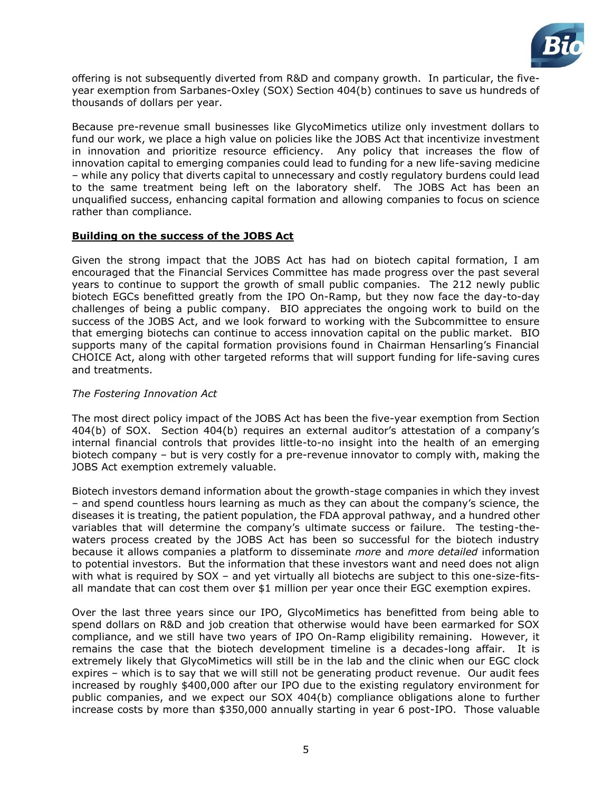

offering is not subsequently diverted from R&D and company growth. In particular, the fiveyear exemption from Sarbanes-Oxley (SOX) Section 404(b) continues to save us hundreds of thousands of dollars per year.

Because pre-revenue small businesses like GlycoMimetics utilize only investment dollars to fund our work, we place a high value on policies like the JOBS Act that incentivize investment in innovation and prioritize resource efficiency. Any policy that increases the flow of innovation capital to emerging companies could lead to funding for a new life-saving medicine – while any policy that diverts capital to unnecessary and costly regulatory burdens could lead to the same treatment being left on the laboratory shelf. The JOBS Act has been an unqualified success, enhancing capital formation and allowing companies to focus on science rather than compliance.

#### **Building on the success of the JOBS Act**

Given the strong impact that the JOBS Act has had on biotech capital formation, I am encouraged that the Financial Services Committee has made progress over the past several years to continue to support the growth of small public companies. The 212 newly public biotech EGCs benefitted greatly from the IPO On-Ramp, but they now face the day-to-day challenges of being a public company. BIO appreciates the ongoing work to build on the success of the JOBS Act, and we look forward to working with the Subcommittee to ensure that emerging biotechs can continue to access innovation capital on the public market. BIO supports many of the capital formation provisions found in Chairman Hensarling's Financial CHOICE Act, along with other targeted reforms that will support funding for life-saving cures and treatments.

### *The Fostering Innovation Act*

The most direct policy impact of the JOBS Act has been the five-year exemption from Section 404(b) of SOX. Section 404(b) requires an external auditor's attestation of a company's internal financial controls that provides little-to-no insight into the health of an emerging biotech company – but is very costly for a pre-revenue innovator to comply with, making the JOBS Act exemption extremely valuable.

Biotech investors demand information about the growth-stage companies in which they invest – and spend countless hours learning as much as they can about the company's science, the diseases it is treating, the patient population, the FDA approval pathway, and a hundred other variables that will determine the company's ultimate success or failure. The testing-thewaters process created by the JOBS Act has been so successful for the biotech industry because it allows companies a platform to disseminate *more* and *more detailed* information to potential investors. But the information that these investors want and need does not align with what is required by SOX – and yet virtually all biotechs are subject to this one-size-fitsall mandate that can cost them over \$1 million per year once their EGC exemption expires.

Over the last three years since our IPO, GlycoMimetics has benefitted from being able to spend dollars on R&D and job creation that otherwise would have been earmarked for SOX compliance, and we still have two years of IPO On-Ramp eligibility remaining. However, it remains the case that the biotech development timeline is a decades-long affair. It is extremely likely that GlycoMimetics will still be in the lab and the clinic when our EGC clock expires – which is to say that we will still not be generating product revenue. Our audit fees increased by roughly \$400,000 after our IPO due to the existing regulatory environment for public companies, and we expect our SOX 404(b) compliance obligations alone to further increase costs by more than \$350,000 annually starting in year 6 post-IPO. Those valuable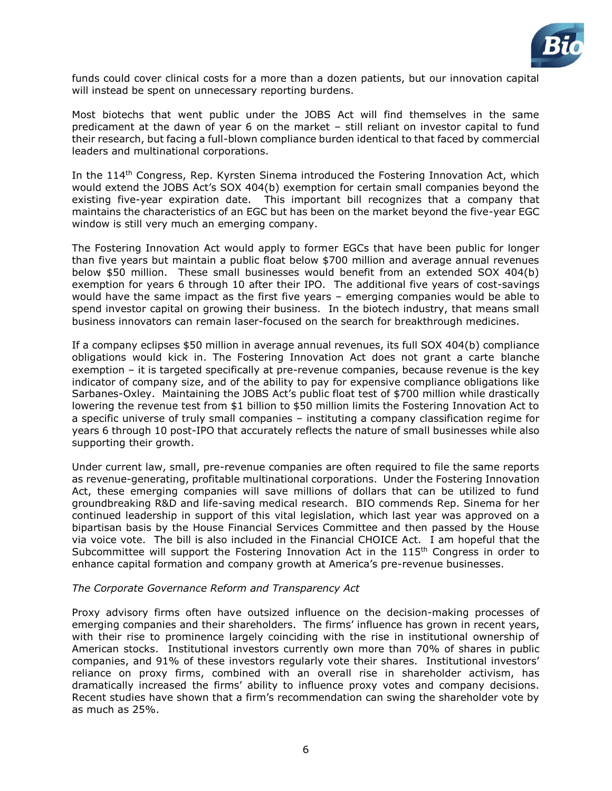

funds could cover clinical costs for a more than a dozen patients, but our innovation capital will instead be spent on unnecessary reporting burdens.

Most biotechs that went public under the JOBS Act will find themselves in the same predicament at the dawn of year 6 on the market – still reliant on investor capital to fund their research, but facing a full-blown compliance burden identical to that faced by commercial leaders and multinational corporations.

In the 114<sup>th</sup> Congress, Rep. Kyrsten Sinema introduced the Fostering Innovation Act, which would extend the JOBS Act's SOX 404(b) exemption for certain small companies beyond the existing five-year expiration date. This important bill recognizes that a company that maintains the characteristics of an EGC but has been on the market beyond the five-year EGC window is still very much an emerging company.

The Fostering Innovation Act would apply to former EGCs that have been public for longer than five years but maintain a public float below \$700 million and average annual revenues below \$50 million. These small businesses would benefit from an extended SOX 404(b) exemption for years 6 through 10 after their IPO. The additional five years of cost-savings would have the same impact as the first five years – emerging companies would be able to spend investor capital on growing their business. In the biotech industry, that means small business innovators can remain laser-focused on the search for breakthrough medicines.

If a company eclipses \$50 million in average annual revenues, its full SOX 404(b) compliance obligations would kick in. The Fostering Innovation Act does not grant a carte blanche exemption – it is targeted specifically at pre-revenue companies, because revenue is the key indicator of company size, and of the ability to pay for expensive compliance obligations like Sarbanes-Oxley. Maintaining the JOBS Act's public float test of \$700 million while drastically lowering the revenue test from \$1 billion to \$50 million limits the Fostering Innovation Act to a specific universe of truly small companies – instituting a company classification regime for years 6 through 10 post-IPO that accurately reflects the nature of small businesses while also supporting their growth.

Under current law, small, pre-revenue companies are often required to file the same reports as revenue-generating, profitable multinational corporations. Under the Fostering Innovation Act, these emerging companies will save millions of dollars that can be utilized to fund groundbreaking R&D and life-saving medical research. BIO commends Rep. Sinema for her continued leadership in support of this vital legislation, which last year was approved on a bipartisan basis by the House Financial Services Committee and then passed by the House via voice vote. The bill is also included in the Financial CHOICE Act. I am hopeful that the Subcommittee will support the Fostering Innovation Act in the  $115<sup>th</sup>$  Congress in order to enhance capital formation and company growth at America's pre-revenue businesses.

#### *The Corporate Governance Reform and Transparency Act*

Proxy advisory firms often have outsized influence on the decision-making processes of emerging companies and their shareholders. The firms' influence has grown in recent years, with their rise to prominence largely coinciding with the rise in institutional ownership of American stocks. Institutional investors currently own more than 70% of shares in public companies, and 91% of these investors regularly vote their shares. Institutional investors' reliance on proxy firms, combined with an overall rise in shareholder activism, has dramatically increased the firms' ability to influence proxy votes and company decisions. Recent studies have shown that a firm's recommendation can swing the shareholder vote by as much as 25%.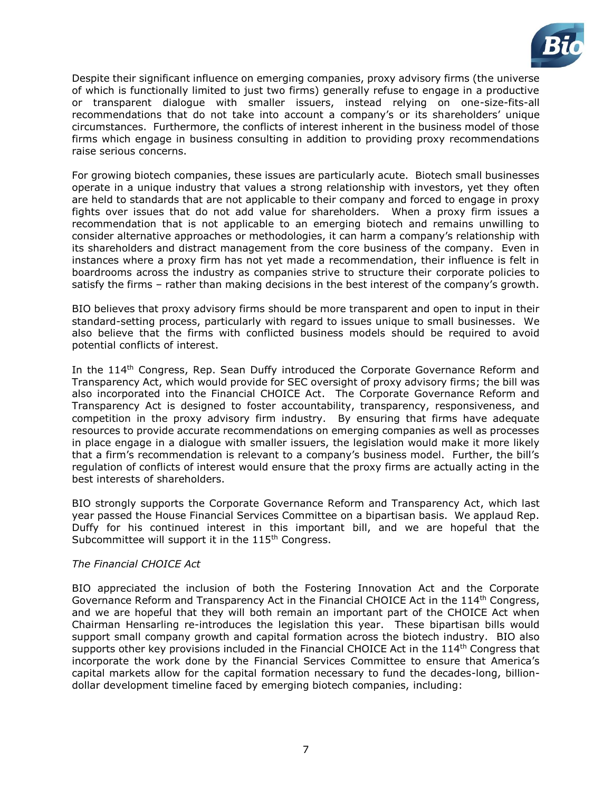

Despite their significant influence on emerging companies, proxy advisory firms (the universe of which is functionally limited to just two firms) generally refuse to engage in a productive or transparent dialogue with smaller issuers, instead relying on one-size-fits-all recommendations that do not take into account a company's or its shareholders' unique circumstances. Furthermore, the conflicts of interest inherent in the business model of those firms which engage in business consulting in addition to providing proxy recommendations raise serious concerns.

For growing biotech companies, these issues are particularly acute. Biotech small businesses operate in a unique industry that values a strong relationship with investors, yet they often are held to standards that are not applicable to their company and forced to engage in proxy fights over issues that do not add value for shareholders. When a proxy firm issues a recommendation that is not applicable to an emerging biotech and remains unwilling to consider alternative approaches or methodologies, it can harm a company's relationship with its shareholders and distract management from the core business of the company. Even in instances where a proxy firm has not yet made a recommendation, their influence is felt in boardrooms across the industry as companies strive to structure their corporate policies to satisfy the firms – rather than making decisions in the best interest of the company's growth.

BIO believes that proxy advisory firms should be more transparent and open to input in their standard-setting process, particularly with regard to issues unique to small businesses. We also believe that the firms with conflicted business models should be required to avoid potential conflicts of interest.

In the 114<sup>th</sup> Congress, Rep. Sean Duffy introduced the Corporate Governance Reform and Transparency Act, which would provide for SEC oversight of proxy advisory firms; the bill was also incorporated into the Financial CHOICE Act. The Corporate Governance Reform and Transparency Act is designed to foster accountability, transparency, responsiveness, and competition in the proxy advisory firm industry. By ensuring that firms have adequate resources to provide accurate recommendations on emerging companies as well as processes in place engage in a dialogue with smaller issuers, the legislation would make it more likely that a firm's recommendation is relevant to a company's business model. Further, the bill's regulation of conflicts of interest would ensure that the proxy firms are actually acting in the best interests of shareholders.

BIO strongly supports the Corporate Governance Reform and Transparency Act, which last year passed the House Financial Services Committee on a bipartisan basis. We applaud Rep. Duffy for his continued interest in this important bill, and we are hopeful that the Subcommittee will support it in the 115<sup>th</sup> Congress.

#### *The Financial CHOICE Act*

BIO appreciated the inclusion of both the Fostering Innovation Act and the Corporate Governance Reform and Transparency Act in the Financial CHOICE Act in the 114<sup>th</sup> Congress, and we are hopeful that they will both remain an important part of the CHOICE Act when Chairman Hensarling re-introduces the legislation this year. These bipartisan bills would support small company growth and capital formation across the biotech industry. BIO also supports other key provisions included in the Financial CHOICE Act in the  $114<sup>th</sup>$  Congress that incorporate the work done by the Financial Services Committee to ensure that America's capital markets allow for the capital formation necessary to fund the decades-long, billiondollar development timeline faced by emerging biotech companies, including: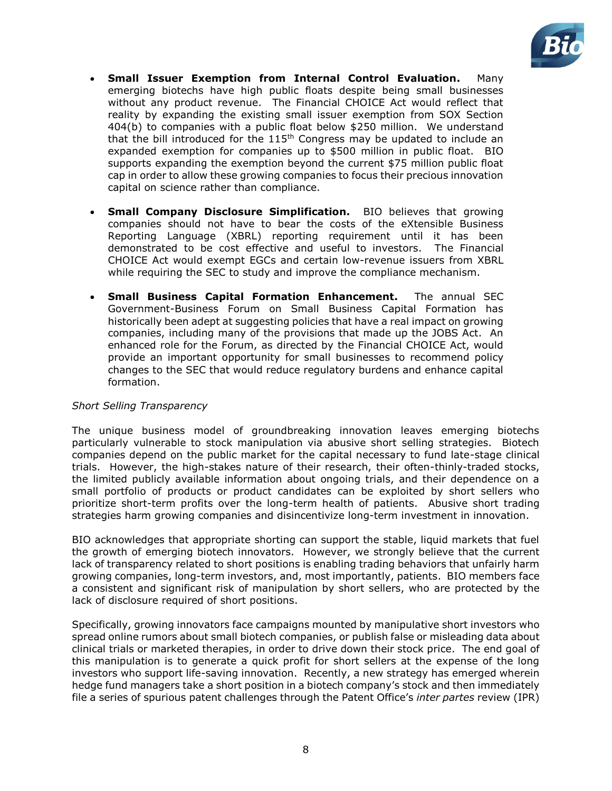

- **Small Issuer Exemption from Internal Control Evaluation.** Many emerging biotechs have high public floats despite being small businesses without any product revenue. The Financial CHOICE Act would reflect that reality by expanding the existing small issuer exemption from SOX Section 404(b) to companies with a public float below \$250 million. We understand that the bill introduced for the  $115<sup>th</sup>$  Congress may be updated to include an expanded exemption for companies up to \$500 million in public float. BIO supports expanding the exemption beyond the current \$75 million public float cap in order to allow these growing companies to focus their precious innovation capital on science rather than compliance.
- **Small Company Disclosure Simplification.** BIO believes that growing companies should not have to bear the costs of the eXtensible Business Reporting Language (XBRL) reporting requirement until it has been demonstrated to be cost effective and useful to investors. The Financial CHOICE Act would exempt EGCs and certain low-revenue issuers from XBRL while requiring the SEC to study and improve the compliance mechanism.
- **Small Business Capital Formation Enhancement.** The annual SEC Government-Business Forum on Small Business Capital Formation has historically been adept at suggesting policies that have a real impact on growing companies, including many of the provisions that made up the JOBS Act. An enhanced role for the Forum, as directed by the Financial CHOICE Act, would provide an important opportunity for small businesses to recommend policy changes to the SEC that would reduce regulatory burdens and enhance capital formation.

#### *Short Selling Transparency*

The unique business model of groundbreaking innovation leaves emerging biotechs particularly vulnerable to stock manipulation via abusive short selling strategies. Biotech companies depend on the public market for the capital necessary to fund late-stage clinical trials. However, the high-stakes nature of their research, their often-thinly-traded stocks, the limited publicly available information about ongoing trials, and their dependence on a small portfolio of products or product candidates can be exploited by short sellers who prioritize short-term profits over the long-term health of patients. Abusive short trading strategies harm growing companies and disincentivize long-term investment in innovation.

BIO acknowledges that appropriate shorting can support the stable, liquid markets that fuel the growth of emerging biotech innovators. However, we strongly believe that the current lack of transparency related to short positions is enabling trading behaviors that unfairly harm growing companies, long-term investors, and, most importantly, patients. BIO members face a consistent and significant risk of manipulation by short sellers, who are protected by the lack of disclosure required of short positions.

Specifically, growing innovators face campaigns mounted by manipulative short investors who spread online rumors about small biotech companies, or publish false or misleading data about clinical trials or marketed therapies, in order to drive down their stock price. The end goal of this manipulation is to generate a quick profit for short sellers at the expense of the long investors who support life-saving innovation. Recently, a new strategy has emerged wherein hedge fund managers take a short position in a biotech company's stock and then immediately file a series of spurious patent challenges through the Patent Office's *inter partes* review (IPR)